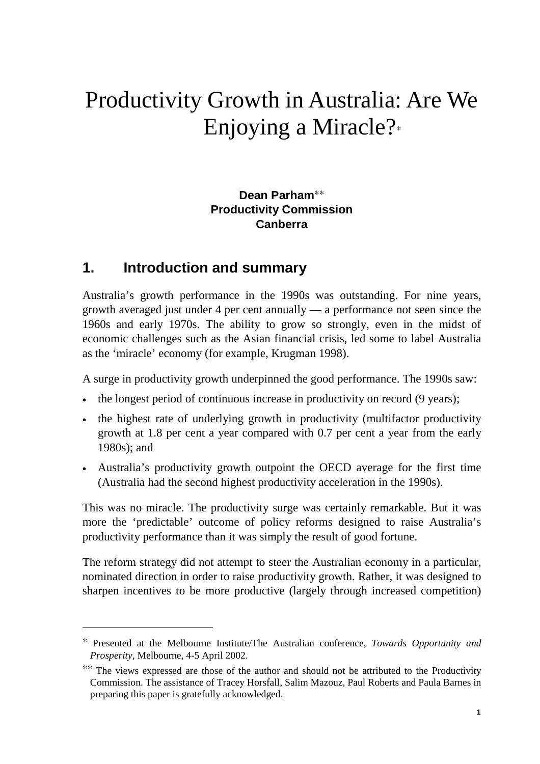# Productivity Growth in Australia: Are We Enjoying a Miracle?<sup>∗</sup>

## **Dean Parham**∗∗ **Productivity Commission Canberra**

## **1. Introduction and summary**

 $\overline{a}$ 

Australia's growth performance in the 1990s was outstanding. For nine years, growth averaged just under 4 per cent annually — a performance not seen since the 1960s and early 1970s. The ability to grow so strongly, even in the midst of economic challenges such as the Asian financial crisis, led some to label Australia as the 'miracle' economy (for example, Krugman 1998).

A surge in productivity growth underpinned the good performance. The 1990s saw:

- the longest period of continuous increase in productivity on record (9 years);
- the highest rate of underlying growth in productivity (multifactor productivity growth at 1.8 per cent a year compared with 0.7 per cent a year from the early 1980s); and
- Australia's productivity growth outpoint the OECD average for the first time (Australia had the second highest productivity acceleration in the 1990s).

This was no miracle. The productivity surge was certainly remarkable. But it was more the 'predictable' outcome of policy reforms designed to raise Australia's productivity performance than it was simply the result of good fortune.

The reform strategy did not attempt to steer the Australian economy in a particular, nominated direction in order to raise productivity growth. Rather, it was designed to sharpen incentives to be more productive (largely through increased competition)

<sup>∗</sup> Presented at the Melbourne Institute/The Australian conference, *Towards Opportunity and Prosperity*, Melbourne, 4-5 April 2002.

<sup>∗∗</sup> The views expressed are those of the author and should not be attributed to the Productivity Commission. The assistance of Tracey Horsfall, Salim Mazouz, Paul Roberts and Paula Barnes in preparing this paper is gratefully acknowledged.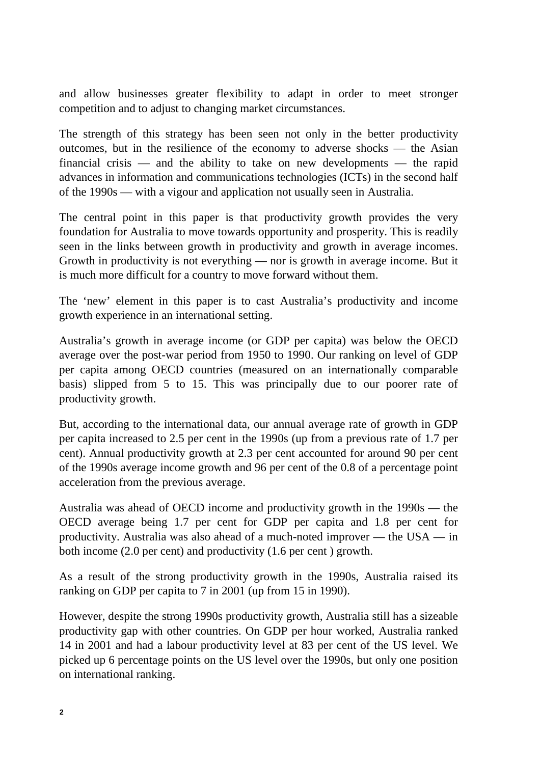and allow businesses greater flexibility to adapt in order to meet stronger competition and to adjust to changing market circumstances.

The strength of this strategy has been seen not only in the better productivity outcomes, but in the resilience of the economy to adverse shocks — the Asian financial crisis — and the ability to take on new developments — the rapid advances in information and communications technologies (ICTs) in the second half of the 1990s — with a vigour and application not usually seen in Australia.

The central point in this paper is that productivity growth provides the very foundation for Australia to move towards opportunity and prosperity. This is readily seen in the links between growth in productivity and growth in average incomes. Growth in productivity is not everything — nor is growth in average income. But it is much more difficult for a country to move forward without them.

The 'new' element in this paper is to cast Australia's productivity and income growth experience in an international setting.

Australia's growth in average income (or GDP per capita) was below the OECD average over the post-war period from 1950 to 1990. Our ranking on level of GDP per capita among OECD countries (measured on an internationally comparable basis) slipped from 5 to 15. This was principally due to our poorer rate of productivity growth.

But, according to the international data, our annual average rate of growth in GDP per capita increased to 2.5 per cent in the 1990s (up from a previous rate of 1.7 per cent). Annual productivity growth at 2.3 per cent accounted for around 90 per cent of the 1990s average income growth and 96 per cent of the 0.8 of a percentage point acceleration from the previous average.

Australia was ahead of OECD income and productivity growth in the 1990s — the OECD average being 1.7 per cent for GDP per capita and 1.8 per cent for productivity. Australia was also ahead of a much-noted improver — the USA — in both income (2.0 per cent) and productivity (1.6 per cent ) growth.

As a result of the strong productivity growth in the 1990s, Australia raised its ranking on GDP per capita to 7 in 2001 (up from 15 in 1990).

However, despite the strong 1990s productivity growth, Australia still has a sizeable productivity gap with other countries. On GDP per hour worked, Australia ranked 14 in 2001 and had a labour productivity level at 83 per cent of the US level. We picked up 6 percentage points on the US level over the 1990s, but only one position on international ranking.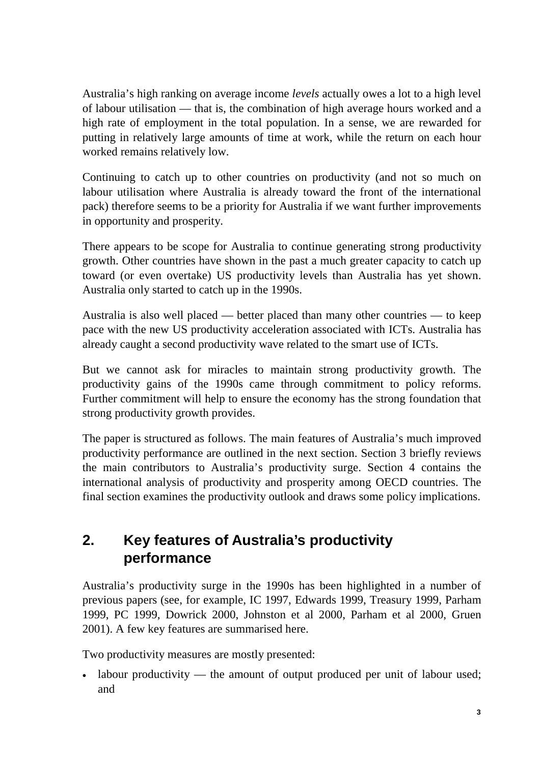Australia's high ranking on average income *levels* actually owes a lot to a high level of labour utilisation — that is, the combination of high average hours worked and a high rate of employment in the total population. In a sense, we are rewarded for putting in relatively large amounts of time at work, while the return on each hour worked remains relatively low.

Continuing to catch up to other countries on productivity (and not so much on labour utilisation where Australia is already toward the front of the international pack) therefore seems to be a priority for Australia if we want further improvements in opportunity and prosperity.

There appears to be scope for Australia to continue generating strong productivity growth. Other countries have shown in the past a much greater capacity to catch up toward (or even overtake) US productivity levels than Australia has yet shown. Australia only started to catch up in the 1990s.

Australia is also well placed — better placed than many other countries — to keep pace with the new US productivity acceleration associated with ICTs. Australia has already caught a second productivity wave related to the smart use of ICTs.

But we cannot ask for miracles to maintain strong productivity growth. The productivity gains of the 1990s came through commitment to policy reforms. Further commitment will help to ensure the economy has the strong foundation that strong productivity growth provides.

The paper is structured as follows. The main features of Australia's much improved productivity performance are outlined in the next section. Section 3 briefly reviews the main contributors to Australia's productivity surge. Section 4 contains the international analysis of productivity and prosperity among OECD countries. The final section examines the productivity outlook and draws some policy implications.

# **2. Key features of Australia's productivity performance**

Australia's productivity surge in the 1990s has been highlighted in a number of previous papers (see, for example, IC 1997, Edwards 1999, Treasury 1999, Parham 1999, PC 1999, Dowrick 2000, Johnston et al 2000, Parham et al 2000, Gruen 2001). A few key features are summarised here.

Two productivity measures are mostly presented:

• labour productivity — the amount of output produced per unit of labour used; and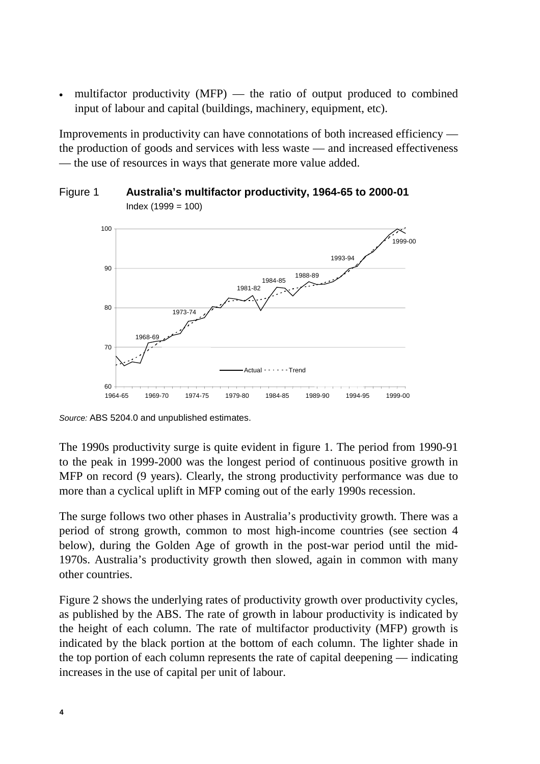multifactor productivity  $(MFP)$  — the ratio of output produced to combined input of labour and capital (buildings, machinery, equipment, etc).

Improvements in productivity can have connotations of both increased efficiency the production of goods and services with less waste — and increased effectiveness — the use of resources in ways that generate more value added.





*Source:* ABS 5204.0 and unpublished estimates.

The 1990s productivity surge is quite evident in figure 1. The period from 1990-91 to the peak in 1999-2000 was the longest period of continuous positive growth in MFP on record (9 years). Clearly, the strong productivity performance was due to more than a cyclical uplift in MFP coming out of the early 1990s recession.

The surge follows two other phases in Australia's productivity growth. There was a period of strong growth, common to most high-income countries (see section 4 below), during the Golden Age of growth in the post-war period until the mid-1970s. Australia's productivity growth then slowed, again in common with many other countries.

Figure 2 shows the underlying rates of productivity growth over productivity cycles, as published by the ABS. The rate of growth in labour productivity is indicated by the height of each column. The rate of multifactor productivity (MFP) growth is indicated by the black portion at the bottom of each column. The lighter shade in the top portion of each column represents the rate of capital deepening — indicating increases in the use of capital per unit of labour.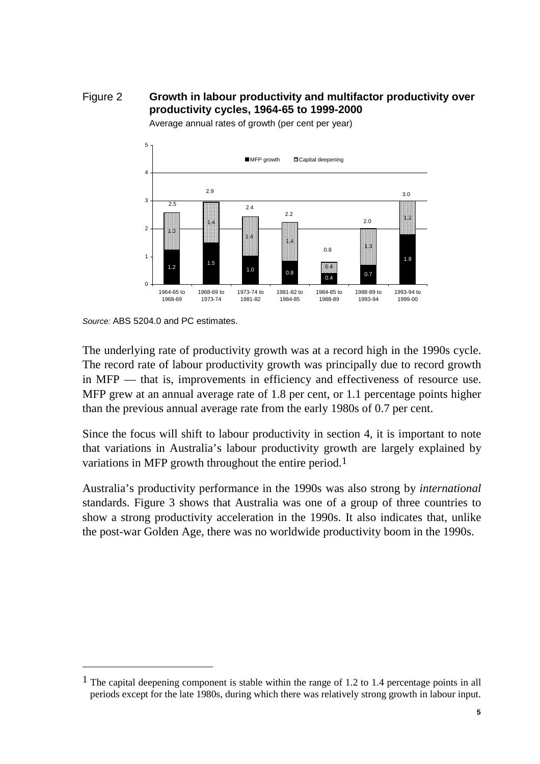Figure 2 **Growth in labour productivity and multifactor productivity over productivity cycles, 1964-65 to 1999-2000**



Average annual rates of growth (per cent per year)

 $\overline{a}$ 

The underlying rate of productivity growth was at a record high in the 1990s cycle. The record rate of labour productivity growth was principally due to record growth in MFP — that is, improvements in efficiency and effectiveness of resource use. MFP grew at an annual average rate of 1.8 per cent, or 1.1 percentage points higher than the previous annual average rate from the early 1980s of 0.7 per cent.

Since the focus will shift to labour productivity in section 4, it is important to note that variations in Australia's labour productivity growth are largely explained by variations in MFP growth throughout the entire period.<sup>1</sup>

Australia's productivity performance in the 1990s was also strong by *international* standards. Figure 3 shows that Australia was one of a group of three countries to show a strong productivity acceleration in the 1990s. It also indicates that, unlike the post-war Golden Age, there was no worldwide productivity boom in the 1990s.

*Source:* ABS 5204.0 and PC estimates.

<sup>&</sup>lt;sup>1</sup> The capital deepening component is stable within the range of 1.2 to 1.4 percentage points in all periods except for the late 1980s, during which there was relatively strong growth in labour input.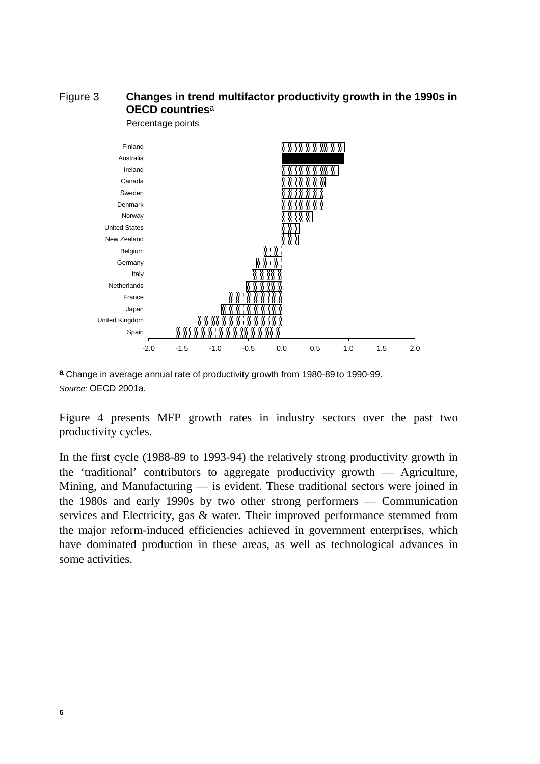## Figure 3 **Changes in trend multifactor productivity growth in the 1990s in OECD countries**a



**a** Change in average annual rate of productivity growth from 1980-89 to 1990-99. *Source:* OECD 2001a.

Figure 4 presents MFP growth rates in industry sectors over the past two productivity cycles.

In the first cycle (1988-89 to 1993-94) the relatively strong productivity growth in the 'traditional' contributors to aggregate productivity growth — Agriculture, Mining, and Manufacturing — is evident. These traditional sectors were joined in the 1980s and early 1990s by two other strong performers — Communication services and Electricity, gas & water. Their improved performance stemmed from the major reform-induced efficiencies achieved in government enterprises, which have dominated production in these areas, as well as technological advances in some activities.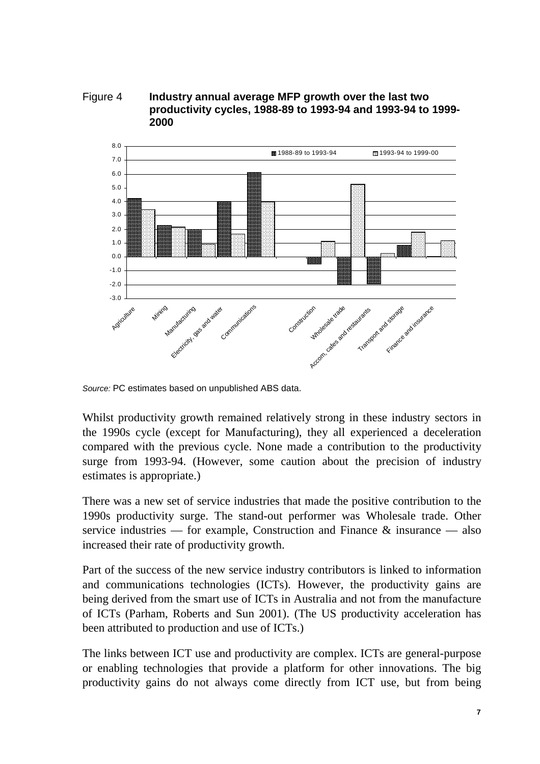Figure 4 **Industry annual average MFP growth over the last two productivity cycles, 1988-89 to 1993-94 and 1993-94 to 1999- 2000**



*Source:* PC estimates based on unpublished ABS data.

Whilst productivity growth remained relatively strong in these industry sectors in the 1990s cycle (except for Manufacturing), they all experienced a deceleration compared with the previous cycle. None made a contribution to the productivity surge from 1993-94. (However, some caution about the precision of industry estimates is appropriate.)

There was a new set of service industries that made the positive contribution to the 1990s productivity surge. The stand-out performer was Wholesale trade. Other service industries — for example, Construction and Finance & insurance — also increased their rate of productivity growth.

Part of the success of the new service industry contributors is linked to information and communications technologies (ICTs). However, the productivity gains are being derived from the smart use of ICTs in Australia and not from the manufacture of ICTs (Parham, Roberts and Sun 2001). (The US productivity acceleration has been attributed to production and use of ICTs.)

The links between ICT use and productivity are complex. ICTs are general-purpose or enabling technologies that provide a platform for other innovations. The big productivity gains do not always come directly from ICT use, but from being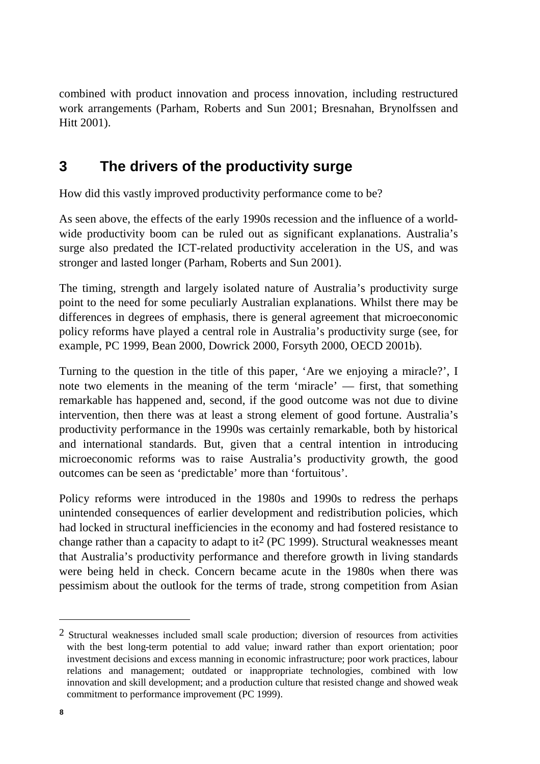combined with product innovation and process innovation, including restructured work arrangements (Parham, Roberts and Sun 2001; Bresnahan, Brynolfssen and Hitt 2001).

# **3 The drivers of the productivity surge**

How did this vastly improved productivity performance come to be?

As seen above, the effects of the early 1990s recession and the influence of a worldwide productivity boom can be ruled out as significant explanations. Australia's surge also predated the ICT-related productivity acceleration in the US, and was stronger and lasted longer (Parham, Roberts and Sun 2001).

The timing, strength and largely isolated nature of Australia's productivity surge point to the need for some peculiarly Australian explanations. Whilst there may be differences in degrees of emphasis, there is general agreement that microeconomic policy reforms have played a central role in Australia's productivity surge (see, for example, PC 1999, Bean 2000, Dowrick 2000, Forsyth 2000, OECD 2001b).

Turning to the question in the title of this paper, 'Are we enjoying a miracle?', I note two elements in the meaning of the term 'miracle' — first, that something remarkable has happened and, second, if the good outcome was not due to divine intervention, then there was at least a strong element of good fortune. Australia's productivity performance in the 1990s was certainly remarkable, both by historical and international standards. But, given that a central intention in introducing microeconomic reforms was to raise Australia's productivity growth, the good outcomes can be seen as 'predictable' more than 'fortuitous'.

Policy reforms were introduced in the 1980s and 1990s to redress the perhaps unintended consequences of earlier development and redistribution policies, which had locked in structural inefficiencies in the economy and had fostered resistance to change rather than a capacity to adapt to it<sup>2</sup> (PC 1999). Structural weaknesses meant that Australia's productivity performance and therefore growth in living standards were being held in check. Concern became acute in the 1980s when there was pessimism about the outlook for the terms of trade, strong competition from Asian

<sup>2</sup> Structural weaknesses included small scale production; diversion of resources from activities with the best long-term potential to add value; inward rather than export orientation; poor investment decisions and excess manning in economic infrastructure; poor work practices, labour relations and management; outdated or inappropriate technologies, combined with low innovation and skill development; and a production culture that resisted change and showed weak commitment to performance improvement (PC 1999).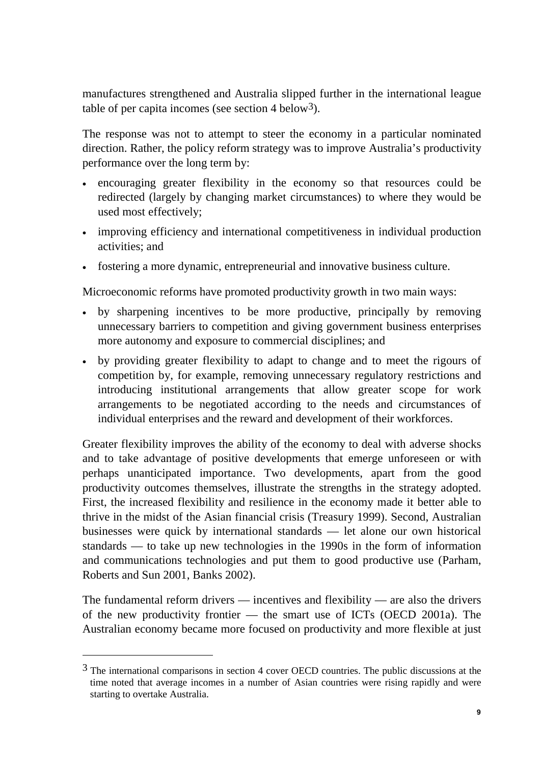manufactures strengthened and Australia slipped further in the international league table of per capita incomes (see section  $4$  below<sup>3</sup>).

The response was not to attempt to steer the economy in a particular nominated direction. Rather, the policy reform strategy was to improve Australia's productivity performance over the long term by:

- encouraging greater flexibility in the economy so that resources could be redirected (largely by changing market circumstances) to where they would be used most effectively;
- improving efficiency and international competitiveness in individual production activities; and
- fostering a more dynamic, entrepreneurial and innovative business culture.

Microeconomic reforms have promoted productivity growth in two main ways:

- by sharpening incentives to be more productive, principally by removing unnecessary barriers to competition and giving government business enterprises more autonomy and exposure to commercial disciplines; and
- by providing greater flexibility to adapt to change and to meet the rigours of competition by, for example, removing unnecessary regulatory restrictions and introducing institutional arrangements that allow greater scope for work arrangements to be negotiated according to the needs and circumstances of individual enterprises and the reward and development of their workforces.

Greater flexibility improves the ability of the economy to deal with adverse shocks and to take advantage of positive developments that emerge unforeseen or with perhaps unanticipated importance. Two developments, apart from the good productivity outcomes themselves, illustrate the strengths in the strategy adopted. First, the increased flexibility and resilience in the economy made it better able to thrive in the midst of the Asian financial crisis (Treasury 1999). Second, Australian businesses were quick by international standards — let alone our own historical standards — to take up new technologies in the 1990s in the form of information and communications technologies and put them to good productive use (Parham, Roberts and Sun 2001, Banks 2002).

The fundamental reform drivers — incentives and flexibility — are also the drivers of the new productivity frontier — the smart use of ICTs (OECD 2001a). The Australian economy became more focused on productivity and more flexible at just

<sup>3</sup> The international comparisons in section 4 cover OECD countries. The public discussions at the time noted that average incomes in a number of Asian countries were rising rapidly and were starting to overtake Australia.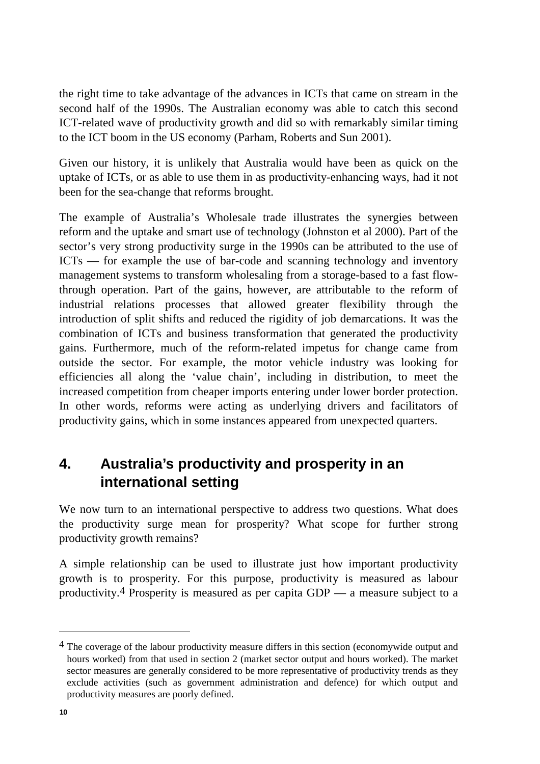the right time to take advantage of the advances in ICTs that came on stream in the second half of the 1990s. The Australian economy was able to catch this second ICT-related wave of productivity growth and did so with remarkably similar timing to the ICT boom in the US economy (Parham, Roberts and Sun 2001).

Given our history, it is unlikely that Australia would have been as quick on the uptake of ICTs, or as able to use them in as productivity-enhancing ways, had it not been for the sea-change that reforms brought.

The example of Australia's Wholesale trade illustrates the synergies between reform and the uptake and smart use of technology (Johnston et al 2000). Part of the sector's very strong productivity surge in the 1990s can be attributed to the use of ICTs — for example the use of bar-code and scanning technology and inventory management systems to transform wholesaling from a storage-based to a fast flowthrough operation. Part of the gains, however, are attributable to the reform of industrial relations processes that allowed greater flexibility through the introduction of split shifts and reduced the rigidity of job demarcations. It was the combination of ICTs and business transformation that generated the productivity gains. Furthermore, much of the reform-related impetus for change came from outside the sector. For example, the motor vehicle industry was looking for efficiencies all along the 'value chain', including in distribution, to meet the increased competition from cheaper imports entering under lower border protection. In other words, reforms were acting as underlying drivers and facilitators of productivity gains, which in some instances appeared from unexpected quarters.

# **4. Australia's productivity and prosperity in an international setting**

We now turn to an international perspective to address two questions. What does the productivity surge mean for prosperity? What scope for further strong productivity growth remains?

A simple relationship can be used to illustrate just how important productivity growth is to prosperity. For this purpose, productivity is measured as labour productivity.4 Prosperity is measured as per capita GDP — a measure subject to a

<sup>&</sup>lt;sup>4</sup> The coverage of the labour productivity measure differs in this section (economywide output and hours worked) from that used in section 2 (market sector output and hours worked). The market sector measures are generally considered to be more representative of productivity trends as they exclude activities (such as government administration and defence) for which output and productivity measures are poorly defined.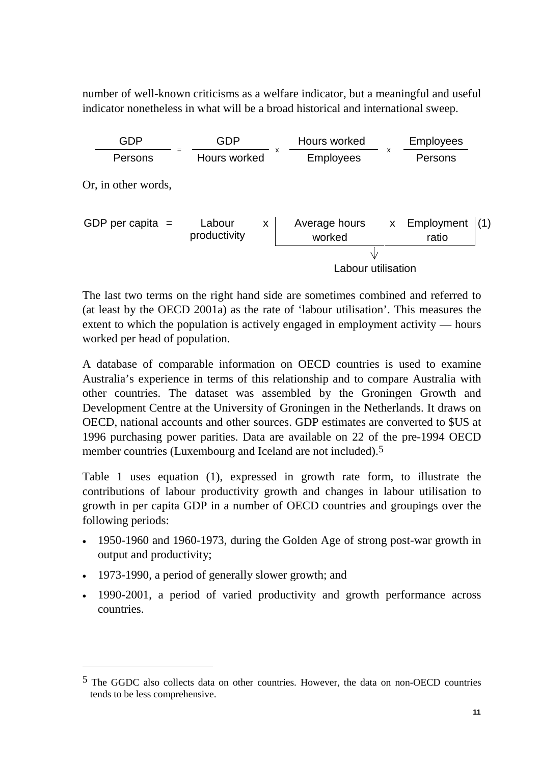number of well-known criticisms as a welfare indicator, but a meaningful and useful indicator nonetheless in what will be a broad historical and international sweep.

| <b>GDP</b>          | GDP<br>Hours worked         |   |                                               | <b>Employees</b>   |                     |     |
|---------------------|-----------------------------|---|-----------------------------------------------|--------------------|---------------------|-----|
| Persons             | Hours worked                | x | $\boldsymbol{\mathsf{x}}$<br><b>Employees</b> |                    | Persons             |     |
| Or, in other words, |                             |   |                                               |                    |                     |     |
| GDP per capita $=$  | Labour<br>X<br>productivity |   | Average hours<br>worked                       | $\pmb{\mathsf{X}}$ | Employment<br>ratio | (1) |
|                     |                             |   |                                               |                    |                     |     |
|                     |                             |   | Labour utilisation                            |                    |                     |     |

The last two terms on the right hand side are sometimes combined and referred to (at least by the OECD 2001a) as the rate of 'labour utilisation'. This measures the extent to which the population is actively engaged in employment activity — hours worked per head of population.

A database of comparable information on OECD countries is used to examine Australia's experience in terms of this relationship and to compare Australia with other countries. The dataset was assembled by the Groningen Growth and Development Centre at the University of Groningen in the Netherlands. It draws on OECD, national accounts and other sources. GDP estimates are converted to \$US at 1996 purchasing power parities. Data are available on 22 of the pre-1994 OECD member countries (Luxembourg and Iceland are not included).<sup>5</sup>

Table 1 uses equation (1), expressed in growth rate form, to illustrate the contributions of labour productivity growth and changes in labour utilisation to growth in per capita GDP in a number of OECD countries and groupings over the following periods:

- 1950-1960 and 1960-1973, during the Golden Age of strong post-war growth in output and productivity;
- 1973-1990, a period of generally slower growth; and

 $\overline{a}$ 

• 1990-2001, a period of varied productivity and growth performance across countries.

<sup>5</sup> The GGDC also collects data on other countries. However, the data on non-OECD countries tends to be less comprehensive.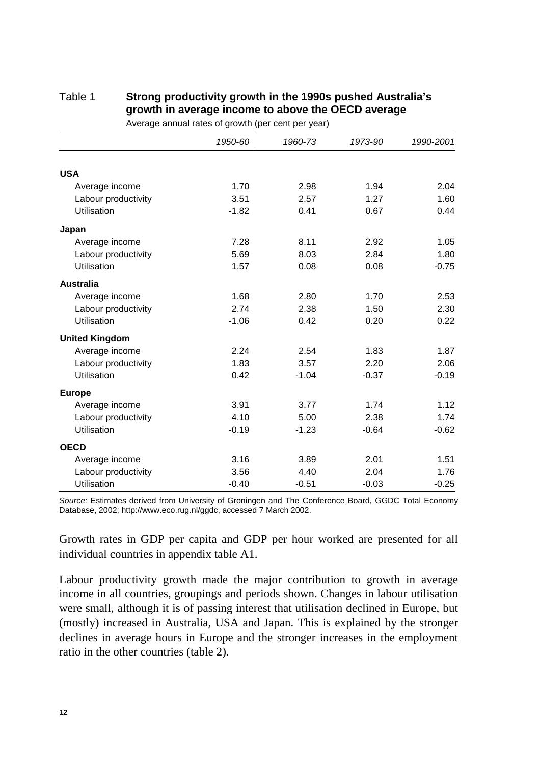|                       | 1950-60 | 1960-73 | 1973-90 | 1990-2001 |
|-----------------------|---------|---------|---------|-----------|
|                       |         |         |         |           |
| <b>USA</b>            |         |         |         |           |
| Average income        | 1.70    | 2.98    | 1.94    | 2.04      |
| Labour productivity   | 3.51    | 2.57    | 1.27    | 1.60      |
| Utilisation           | $-1.82$ | 0.41    | 0.67    | 0.44      |
| Japan                 |         |         |         |           |
| Average income        | 7.28    | 8.11    | 2.92    | 1.05      |
| Labour productivity   | 5.69    | 8.03    | 2.84    | 1.80      |
| <b>Utilisation</b>    | 1.57    | 0.08    | 0.08    | $-0.75$   |
| <b>Australia</b>      |         |         |         |           |
| Average income        | 1.68    | 2.80    | 1.70    | 2.53      |
| Labour productivity   | 2.74    | 2.38    | 1.50    | 2.30      |
| <b>Utilisation</b>    | $-1.06$ | 0.42    | 0.20    | 0.22      |
| <b>United Kingdom</b> |         |         |         |           |
| Average income        | 2.24    | 2.54    | 1.83    | 1.87      |
| Labour productivity   | 1.83    | 3.57    | 2.20    | 2.06      |
| Utilisation           | 0.42    | $-1.04$ | $-0.37$ | $-0.19$   |
| <b>Europe</b>         |         |         |         |           |
| Average income        | 3.91    | 3.77    | 1.74    | 1.12      |
| Labour productivity   | 4.10    | 5.00    | 2.38    | 1.74      |
| <b>Utilisation</b>    | $-0.19$ | $-1.23$ | $-0.64$ | $-0.62$   |
| <b>OECD</b>           |         |         |         |           |
| Average income        | 3.16    | 3.89    | 2.01    | 1.51      |
| Labour productivity   | 3.56    | 4.40    | 2.04    | 1.76      |
| <b>Utilisation</b>    | $-0.40$ | $-0.51$ | $-0.03$ | $-0.25$   |

#### Table 1 **Strong productivity growth in the 1990s pushed Australia's growth in average income to above the OECD average** Average annual rates of growth (per cent per year)

*Source:* Estimates derived from University of Groningen and The Conference Board, GGDC Total Economy Database, 2002; http://www.eco.rug.nl/ggdc, accessed 7 March 2002.

Growth rates in GDP per capita and GDP per hour worked are presented for all individual countries in appendix table A1.

Labour productivity growth made the major contribution to growth in average income in all countries, groupings and periods shown. Changes in labour utilisation were small, although it is of passing interest that utilisation declined in Europe, but (mostly) increased in Australia, USA and Japan. This is explained by the stronger declines in average hours in Europe and the stronger increases in the employment ratio in the other countries (table 2).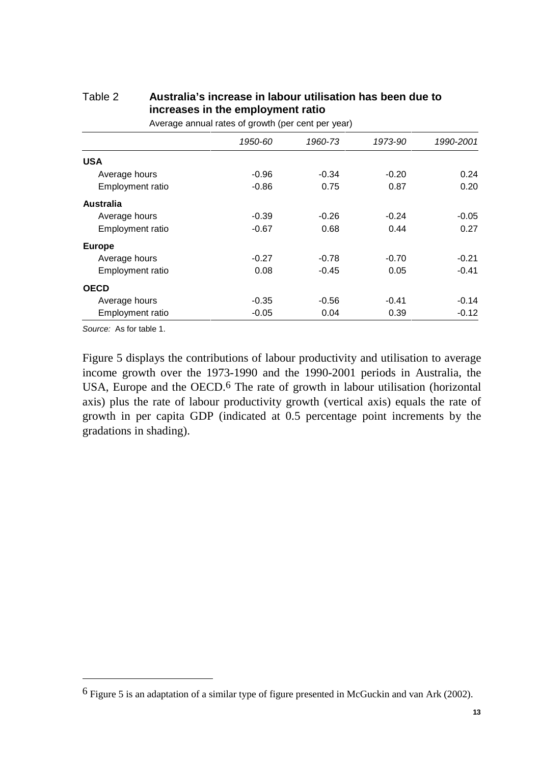|                         | 1950-60 | 1960-73 | 1973-90 | 1990-2001 |
|-------------------------|---------|---------|---------|-----------|
| <b>USA</b>              |         |         |         |           |
| Average hours           | $-0.96$ | $-0.34$ | $-0.20$ | 0.24      |
| Employment ratio        | $-0.86$ | 0.75    | 0.87    | 0.20      |
| Australia               |         |         |         |           |
| Average hours           | $-0.39$ | $-0.26$ | $-0.24$ | $-0.05$   |
| <b>Employment ratio</b> | $-0.67$ | 0.68    | 0.44    | 0.27      |
| <b>Europe</b>           |         |         |         |           |
| Average hours           | $-0.27$ | $-0.78$ | $-0.70$ | $-0.21$   |
| Employment ratio        | 0.08    | $-0.45$ | 0.05    | $-0.41$   |
| <b>OECD</b>             |         |         |         |           |
| Average hours           | $-0.35$ | $-0.56$ | $-0.41$ | $-0.14$   |
| <b>Employment ratio</b> | $-0.05$ | 0.04    | 0.39    | $-0.12$   |

## Table 2 **Australia's increase in labour utilisation has been due to increases in the employment ratio**

Average annual rates of growth (per cent per year)

*Source:* As for table 1.

 $\overline{a}$ 

Figure 5 displays the contributions of labour productivity and utilisation to average income growth over the 1973-1990 and the 1990-2001 periods in Australia, the USA, Europe and the OECD.<sup>6</sup> The rate of growth in labour utilisation (horizontal axis) plus the rate of labour productivity growth (vertical axis) equals the rate of growth in per capita GDP (indicated at 0.5 percentage point increments by the gradations in shading).

<sup>6</sup> Figure 5 is an adaptation of a similar type of figure presented in McGuckin and van Ark (2002).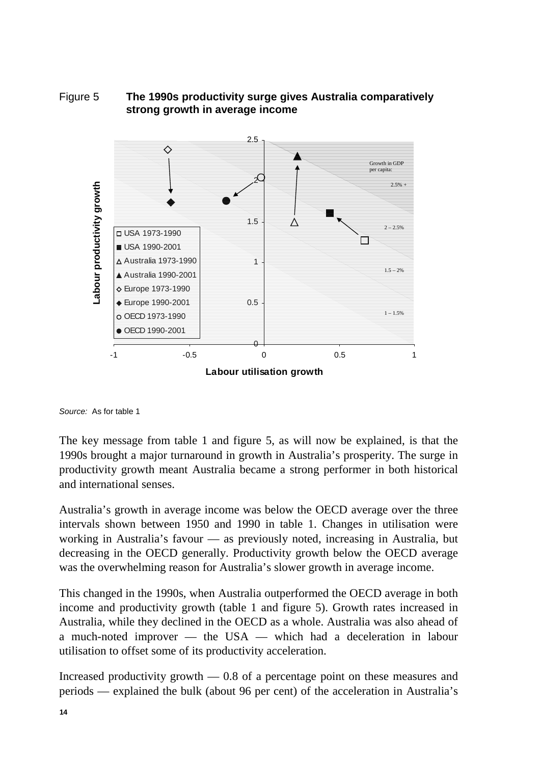## Figure 5 **The 1990s productivity surge gives Australia comparatively strong growth in average income**

![](_page_13_Figure_1.jpeg)

*Source:* As for table 1

The key message from table 1 and figure 5, as will now be explained, is that the 1990s brought a major turnaround in growth in Australia's prosperity. The surge in productivity growth meant Australia became a strong performer in both historical and international senses.

Australia's growth in average income was below the OECD average over the three intervals shown between 1950 and 1990 in table 1. Changes in utilisation were working in Australia's favour — as previously noted, increasing in Australia, but decreasing in the OECD generally. Productivity growth below the OECD average was the overwhelming reason for Australia's slower growth in average income.

This changed in the 1990s, when Australia outperformed the OECD average in both income and productivity growth (table 1 and figure 5). Growth rates increased in Australia, while they declined in the OECD as a whole. Australia was also ahead of a much-noted improver — the USA — which had a deceleration in labour utilisation to offset some of its productivity acceleration.

Increased productivity growth — 0.8 of a percentage point on these measures and periods — explained the bulk (about 96 per cent) of the acceleration in Australia's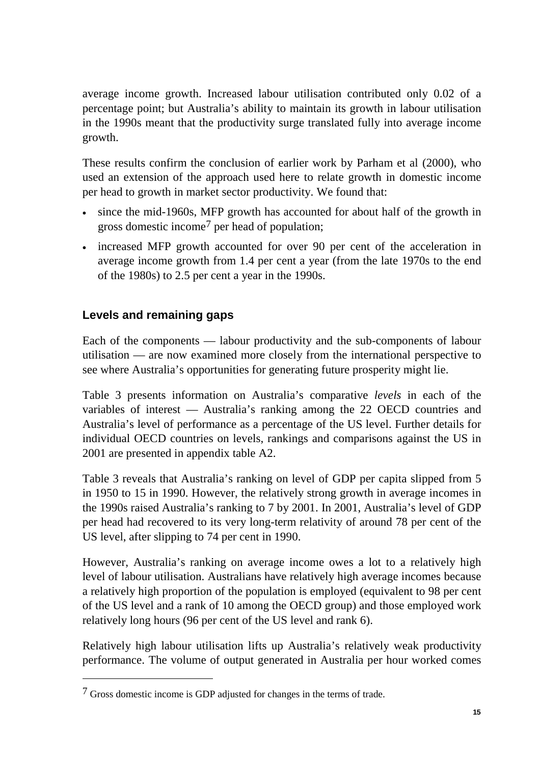average income growth. Increased labour utilisation contributed only 0.02 of a percentage point; but Australia's ability to maintain its growth in labour utilisation in the 1990s meant that the productivity surge translated fully into average income growth.

These results confirm the conclusion of earlier work by Parham et al (2000), who used an extension of the approach used here to relate growth in domestic income per head to growth in market sector productivity. We found that:

- since the mid-1960s, MFP growth has accounted for about half of the growth in gross domestic income7 per head of population;
- increased MFP growth accounted for over 90 per cent of the acceleration in average income growth from 1.4 per cent a year (from the late 1970s to the end of the 1980s) to 2.5 per cent a year in the 1990s.

## **Levels and remaining gaps**

 $\overline{a}$ 

Each of the components — labour productivity and the sub-components of labour utilisation — are now examined more closely from the international perspective to see where Australia's opportunities for generating future prosperity might lie.

Table 3 presents information on Australia's comparative *levels* in each of the variables of interest — Australia's ranking among the 22 OECD countries and Australia's level of performance as a percentage of the US level. Further details for individual OECD countries on levels, rankings and comparisons against the US in 2001 are presented in appendix table A2.

Table 3 reveals that Australia's ranking on level of GDP per capita slipped from 5 in 1950 to 15 in 1990. However, the relatively strong growth in average incomes in the 1990s raised Australia's ranking to 7 by 2001. In 2001, Australia's level of GDP per head had recovered to its very long-term relativity of around 78 per cent of the US level, after slipping to 74 per cent in 1990.

However, Australia's ranking on average income owes a lot to a relatively high level of labour utilisation. Australians have relatively high average incomes because a relatively high proportion of the population is employed (equivalent to 98 per cent of the US level and a rank of 10 among the OECD group) and those employed work relatively long hours (96 per cent of the US level and rank 6).

Relatively high labour utilisation lifts up Australia's relatively weak productivity performance. The volume of output generated in Australia per hour worked comes

<sup>7</sup> Gross domestic income is GDP adjusted for changes in the terms of trade.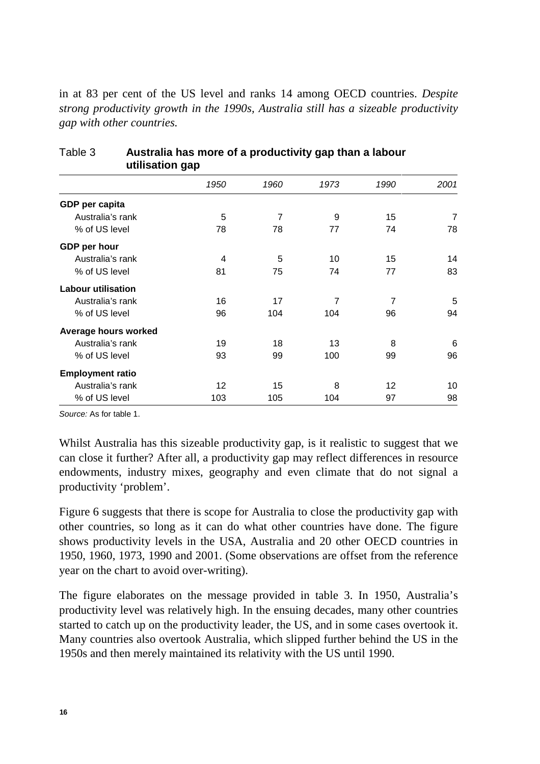in at 83 per cent of the US level and ranks 14 among OECD countries. *Despite strong productivity growth in the 1990s, Australia still has a sizeable productivity gap with other countries.*

|                           | ັ    |                |                |                |                |
|---------------------------|------|----------------|----------------|----------------|----------------|
|                           | 1950 | 1960           | 1973           | 1990           | 2001           |
| GDP per capita            |      |                |                |                |                |
| Australia's rank          | 5    | $\overline{7}$ | 9              | 15             | $\overline{7}$ |
| % of US level             | 78   | 78             | 77             | 74             | 78             |
| GDP per hour              |      |                |                |                |                |
| Australia's rank          | 4    | 5              | 10             | 15             | 14             |
| % of US level             | 81   | 75             | 74             | 77             | 83             |
| <b>Labour utilisation</b> |      |                |                |                |                |
| Australia's rank          | 16   | 17             | $\overline{7}$ | $\overline{7}$ | 5              |
| % of US level             | 96   | 104            | 104            | 96             | 94             |
| Average hours worked      |      |                |                |                |                |
| Australia's rank          | 19   | 18             | 13             | 8              | 6              |
| % of US level             | 93   | 99             | 100            | 99             | 96             |
| <b>Employment ratio</b>   |      |                |                |                |                |
| Australia's rank          | 12   | 15             | 8              | 12             | 10             |
| % of US level             | 103  | 105            | 104            | 97             | 98             |

## Table 3 **Australia has more of a productivity gap than a labour utilisation gap**

*Source:* As for table 1.

Whilst Australia has this sizeable productivity gap, is it realistic to suggest that we can close it further? After all, a productivity gap may reflect differences in resource endowments, industry mixes, geography and even climate that do not signal a productivity 'problem'.

Figure 6 suggests that there is scope for Australia to close the productivity gap with other countries, so long as it can do what other countries have done. The figure shows productivity levels in the USA, Australia and 20 other OECD countries in 1950, 1960, 1973, 1990 and 2001. (Some observations are offset from the reference year on the chart to avoid over-writing).

The figure elaborates on the message provided in table 3. In 1950, Australia's productivity level was relatively high. In the ensuing decades, many other countries started to catch up on the productivity leader, the US, and in some cases overtook it. Many countries also overtook Australia, which slipped further behind the US in the 1950s and then merely maintained its relativity with the US until 1990.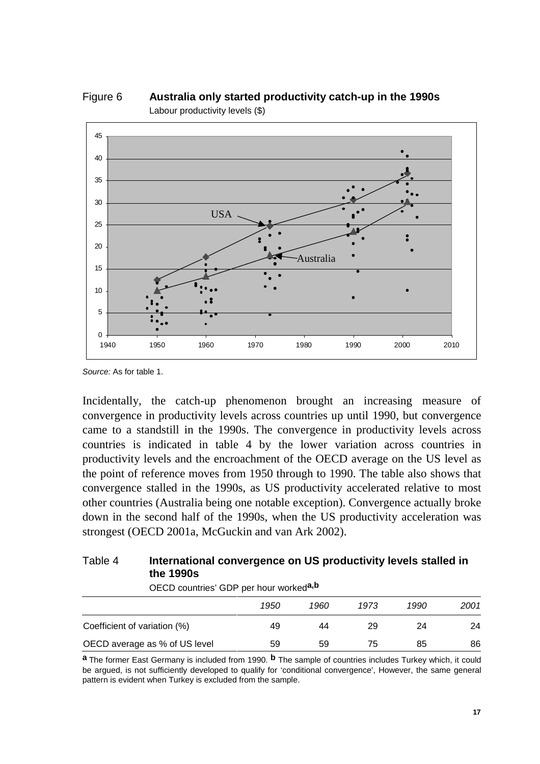![](_page_16_Figure_0.jpeg)

Figure 6 **Australia only started productivity catch-up in the 1990s** Labour productivity levels (\$)

*Source:* As for table 1.

Incidentally, the catch-up phenomenon brought an increasing measure of convergence in productivity levels across countries up until 1990, but convergence came to a standstill in the 1990s. The convergence in productivity levels across countries is indicated in table 4 by the lower variation across countries in productivity levels and the encroachment of the OECD average on the US level as the point of reference moves from 1950 through to 1990. The table also shows that convergence stalled in the 1990s, as US productivity accelerated relative to most other countries (Australia being one notable exception). Convergence actually broke down in the second half of the 1990s, when the US productivity acceleration was strongest (OECD 2001a, McGuckin and van Ark 2002).

## Table 4 **International convergence on US productivity levels stalled in the 1990s**

OECD countries' GDP per hour worked**a,b**

|                               | 1950 | 1960 | 1973 | 1990 | 2001 |
|-------------------------------|------|------|------|------|------|
|                               |      |      |      |      |      |
| Coefficient of variation (%)  | 49   | 44   | 29   | 24   | 24   |
| OECD average as % of US level | 59   | 59   | 75   | 85   | 86   |

**a** The former East Germany is included from 1990. **b** The sample of countries includes Turkey which, it could be argued, is not sufficiently developed to qualify for 'conditional convergence', However, the same general pattern is evident when Turkey is excluded from the sample.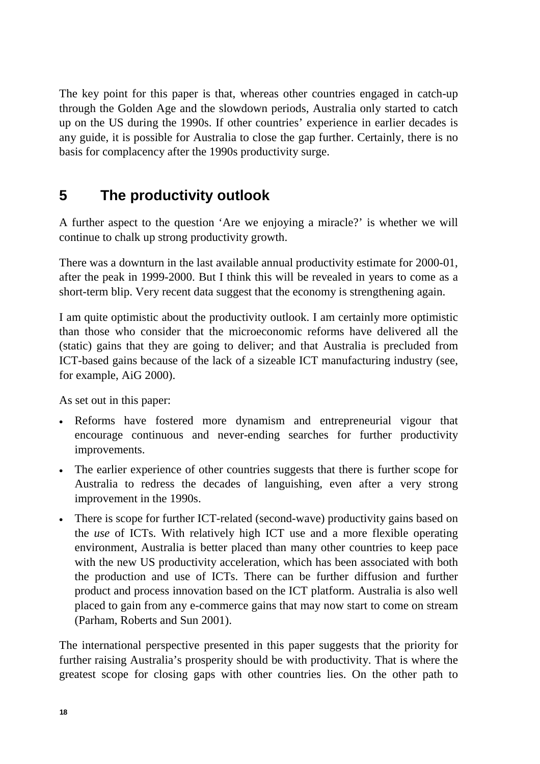The key point for this paper is that, whereas other countries engaged in catch-up through the Golden Age and the slowdown periods, Australia only started to catch up on the US during the 1990s. If other countries' experience in earlier decades is any guide, it is possible for Australia to close the gap further. Certainly, there is no basis for complacency after the 1990s productivity surge.

# **5 The productivity outlook**

A further aspect to the question 'Are we enjoying a miracle?' is whether we will continue to chalk up strong productivity growth.

There was a downturn in the last available annual productivity estimate for 2000-01, after the peak in 1999-2000. But I think this will be revealed in years to come as a short-term blip. Very recent data suggest that the economy is strengthening again.

I am quite optimistic about the productivity outlook. I am certainly more optimistic than those who consider that the microeconomic reforms have delivered all the (static) gains that they are going to deliver; and that Australia is precluded from ICT-based gains because of the lack of a sizeable ICT manufacturing industry (see, for example, AiG 2000).

As set out in this paper:

- Reforms have fostered more dynamism and entrepreneurial vigour that encourage continuous and never-ending searches for further productivity improvements.
- The earlier experience of other countries suggests that there is further scope for Australia to redress the decades of languishing, even after a very strong improvement in the 1990s.
- There is scope for further ICT-related (second-wave) productivity gains based on the *use* of ICTs. With relatively high ICT use and a more flexible operating environment, Australia is better placed than many other countries to keep pace with the new US productivity acceleration, which has been associated with both the production and use of ICTs. There can be further diffusion and further product and process innovation based on the ICT platform. Australia is also well placed to gain from any e-commerce gains that may now start to come on stream (Parham, Roberts and Sun 2001).

The international perspective presented in this paper suggests that the priority for further raising Australia's prosperity should be with productivity. That is where the greatest scope for closing gaps with other countries lies. On the other path to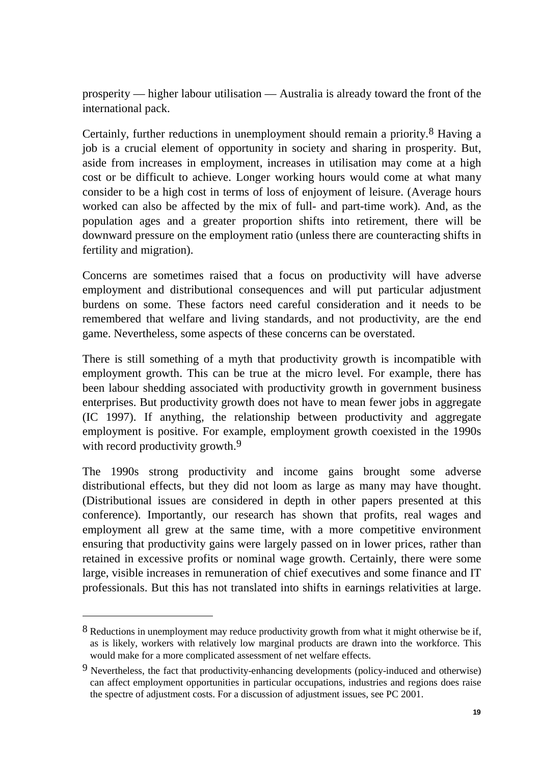prosperity — higher labour utilisation — Australia is already toward the front of the international pack.

Certainly, further reductions in unemployment should remain a priority.8 Having a job is a crucial element of opportunity in society and sharing in prosperity. But, aside from increases in employment, increases in utilisation may come at a high cost or be difficult to achieve. Longer working hours would come at what many consider to be a high cost in terms of loss of enjoyment of leisure. (Average hours worked can also be affected by the mix of full- and part-time work). And, as the population ages and a greater proportion shifts into retirement, there will be downward pressure on the employment ratio (unless there are counteracting shifts in fertility and migration).

Concerns are sometimes raised that a focus on productivity will have adverse employment and distributional consequences and will put particular adjustment burdens on some. These factors need careful consideration and it needs to be remembered that welfare and living standards, and not productivity, are the end game. Nevertheless, some aspects of these concerns can be overstated.

There is still something of a myth that productivity growth is incompatible with employment growth. This can be true at the micro level. For example, there has been labour shedding associated with productivity growth in government business enterprises. But productivity growth does not have to mean fewer jobs in aggregate (IC 1997). If anything, the relationship between productivity and aggregate employment is positive. For example, employment growth coexisted in the 1990s with record productivity growth.<sup>9</sup>

The 1990s strong productivity and income gains brought some adverse distributional effects, but they did not loom as large as many may have thought. (Distributional issues are considered in depth in other papers presented at this conference). Importantly, our research has shown that profits, real wages and employment all grew at the same time, with a more competitive environment ensuring that productivity gains were largely passed on in lower prices, rather than retained in excessive profits or nominal wage growth. Certainly, there were some large, visible increases in remuneration of chief executives and some finance and IT professionals. But this has not translated into shifts in earnings relativities at large.

 $8$  Reductions in unemployment may reduce productivity growth from what it might otherwise be if, as is likely, workers with relatively low marginal products are drawn into the workforce. This would make for a more complicated assessment of net welfare effects.

<sup>9</sup> Nevertheless, the fact that productivity-enhancing developments (policy-induced and otherwise) can affect employment opportunities in particular occupations, industries and regions does raise the spectre of adjustment costs. For a discussion of adjustment issues, see PC 2001.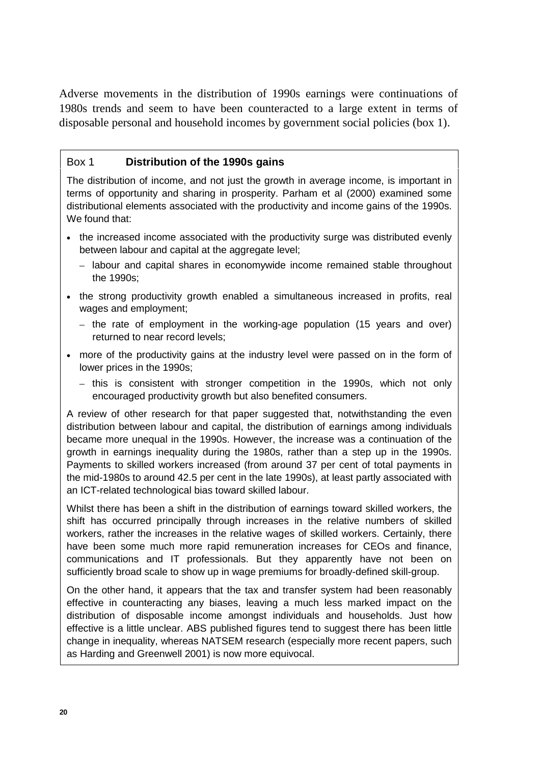Adverse movements in the distribution of 1990s earnings were continuations of 1980s trends and seem to have been counteracted to a large extent in terms of disposable personal and household incomes by government social policies (box 1).

## Box 1 **Distribution of the 1990s gains**

The distribution of income, and not just the growth in average income, is important in terms of opportunity and sharing in prosperity. Parham et al (2000) examined some distributional elements associated with the productivity and income gains of the 1990s. We found that:

- the increased income associated with the productivity surge was distributed evenly between labour and capital at the aggregate level;
	- labour and capital shares in economywide income remained stable throughout the 1990s;
- the strong productivity growth enabled a simultaneous increased in profits, real wages and employment;
	- the rate of employment in the working-age population (15 years and over) returned to near record levels;
- more of the productivity gains at the industry level were passed on in the form of lower prices in the 1990s;
	- this is consistent with stronger competition in the 1990s, which not only encouraged productivity growth but also benefited consumers.

A review of other research for that paper suggested that, notwithstanding the even distribution between labour and capital, the distribution of earnings among individuals became more unequal in the 1990s. However, the increase was a continuation of the growth in earnings inequality during the 1980s, rather than a step up in the 1990s. Payments to skilled workers increased (from around 37 per cent of total payments in the mid-1980s to around 42.5 per cent in the late 1990s), at least partly associated with an ICT-related technological bias toward skilled labour.

Whilst there has been a shift in the distribution of earnings toward skilled workers, the shift has occurred principally through increases in the relative numbers of skilled workers, rather the increases in the relative wages of skilled workers. Certainly, there have been some much more rapid remuneration increases for CEOs and finance, communications and IT professionals. But they apparently have not been on sufficiently broad scale to show up in wage premiums for broadly-defined skill-group.

On the other hand, it appears that the tax and transfer system had been reasonably effective in counteracting any biases, leaving a much less marked impact on the distribution of disposable income amongst individuals and households. Just how effective is a little unclear. ABS published figures tend to suggest there has been little change in inequality, whereas NATSEM research (especially more recent papers, such as Harding and Greenwell 2001) is now more equivocal.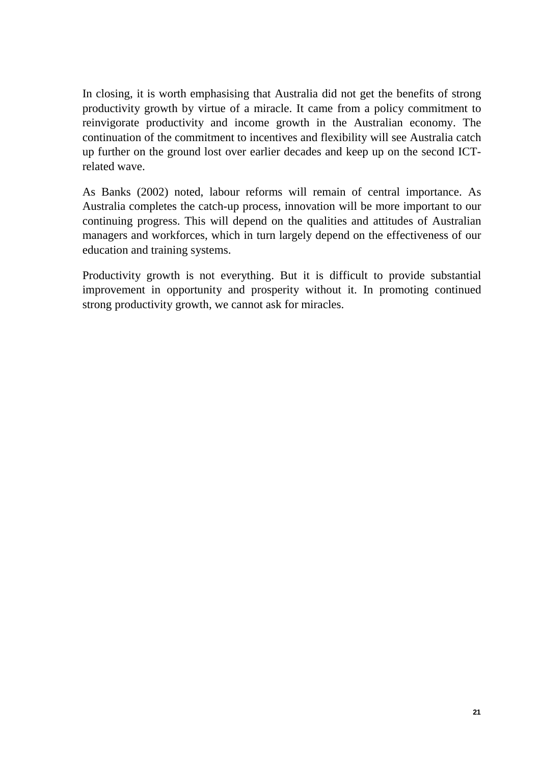In closing, it is worth emphasising that Australia did not get the benefits of strong productivity growth by virtue of a miracle. It came from a policy commitment to reinvigorate productivity and income growth in the Australian economy. The continuation of the commitment to incentives and flexibility will see Australia catch up further on the ground lost over earlier decades and keep up on the second ICTrelated wave.

As Banks (2002) noted, labour reforms will remain of central importance. As Australia completes the catch-up process, innovation will be more important to our continuing progress. This will depend on the qualities and attitudes of Australian managers and workforces, which in turn largely depend on the effectiveness of our education and training systems.

Productivity growth is not everything. But it is difficult to provide substantial improvement in opportunity and prosperity without it. In promoting continued strong productivity growth, we cannot ask for miracles.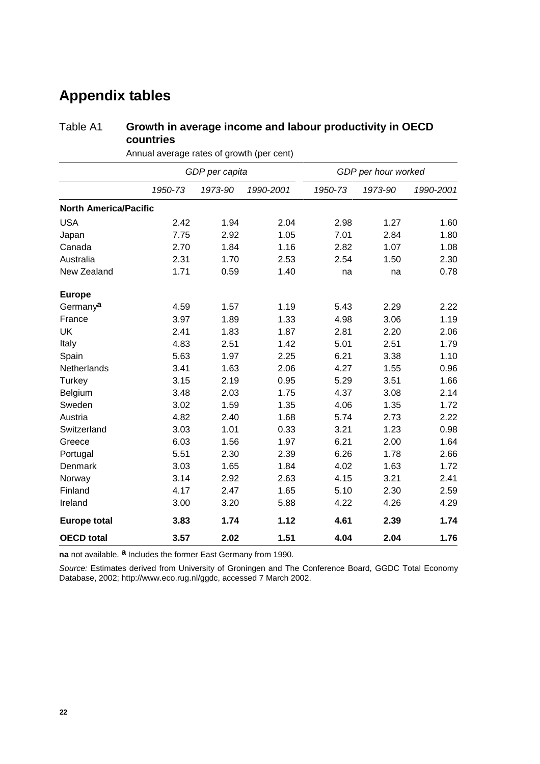# **Appendix tables**

## Table A1 **Growth in average income and labour productivity in OECD countries**

|                              | GDP per capita |         |           | GDP per hour worked |         |           |  |
|------------------------------|----------------|---------|-----------|---------------------|---------|-----------|--|
|                              | 1950-73        | 1973-90 | 1990-2001 | 1950-73             | 1973-90 | 1990-2001 |  |
| <b>North America/Pacific</b> |                |         |           |                     |         |           |  |
| <b>USA</b>                   | 2.42           | 1.94    | 2.04      | 2.98                | 1.27    | 1.60      |  |
| Japan                        | 7.75           | 2.92    | 1.05      | 7.01                | 2.84    | 1.80      |  |
| Canada                       | 2.70           | 1.84    | 1.16      | 2.82                | 1.07    | 1.08      |  |
| Australia                    | 2.31           | 1.70    | 2.53      | 2.54                | 1.50    | 2.30      |  |
| New Zealand                  | 1.71           | 0.59    | 1.40      | na                  | na      | 0.78      |  |
| <b>Europe</b>                |                |         |           |                     |         |           |  |
| Germanya                     | 4.59           | 1.57    | 1.19      | 5.43                | 2.29    | 2.22      |  |
| France                       | 3.97           | 1.89    | 1.33      | 4.98                | 3.06    | 1.19      |  |
| <b>UK</b>                    | 2.41           | 1.83    | 1.87      | 2.81                | 2.20    | 2.06      |  |
| Italy                        | 4.83           | 2.51    | 1.42      | 5.01                | 2.51    | 1.79      |  |
| Spain                        | 5.63           | 1.97    | 2.25      | 6.21                | 3.38    | 1.10      |  |
| Netherlands                  | 3.41           | 1.63    | 2.06      | 4.27                | 1.55    | 0.96      |  |
| Turkey                       | 3.15           | 2.19    | 0.95      | 5.29                | 3.51    | 1.66      |  |
| Belgium                      | 3.48           | 2.03    | 1.75      | 4.37                | 3.08    | 2.14      |  |
| Sweden                       | 3.02           | 1.59    | 1.35      | 4.06                | 1.35    | 1.72      |  |
| Austria                      | 4.82           | 2.40    | 1.68      | 5.74                | 2.73    | 2.22      |  |
| Switzerland                  | 3.03           | 1.01    | 0.33      | 3.21                | 1.23    | 0.98      |  |
| Greece                       | 6.03           | 1.56    | 1.97      | 6.21                | 2.00    | 1.64      |  |
| Portugal                     | 5.51           | 2.30    | 2.39      | 6.26                | 1.78    | 2.66      |  |
| Denmark                      | 3.03           | 1.65    | 1.84      | 4.02                | 1.63    | 1.72      |  |
| Norway                       | 3.14           | 2.92    | 2.63      | 4.15                | 3.21    | 2.41      |  |
| Finland                      | 4.17           | 2.47    | 1.65      | 5.10                | 2.30    | 2.59      |  |
| Ireland                      | 3.00           | 3.20    | 5.88      | 4.22                | 4.26    | 4.29      |  |
| <b>Europe total</b>          | 3.83           | 1.74    | 1.12      | 4.61                | 2.39    | 1.74      |  |
| <b>OECD</b> total            | 3.57           | 2.02    | 1.51      | 4.04                | 2.04    | 1.76      |  |

Annual average rates of growth (per cent)

**na** not available. **a** Includes the former East Germany from 1990.

*Source:* Estimates derived from University of Groningen and The Conference Board, GGDC Total Economy Database, 2002; http://www.eco.rug.nl/ggdc, accessed 7 March 2002.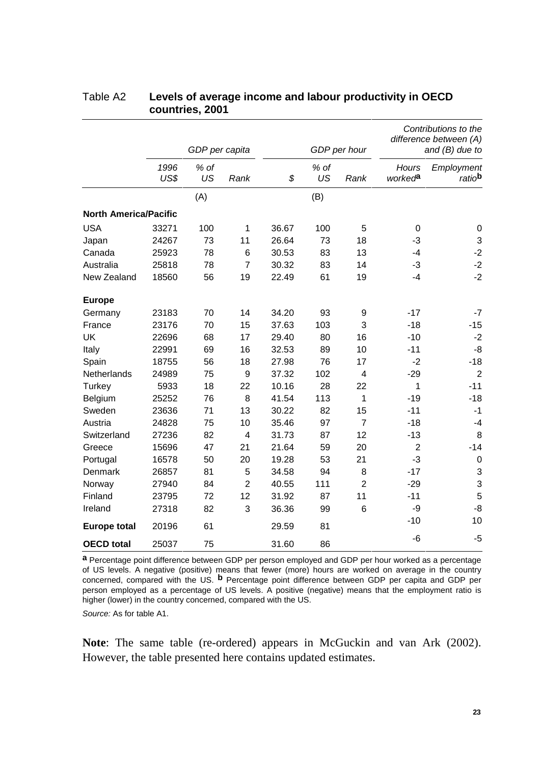|                              |              | GDP per capita |                | GDP per hour |            | Contributions to the<br>difference between (A)<br>and $(B)$ due to |                                     |                                  |
|------------------------------|--------------|----------------|----------------|--------------|------------|--------------------------------------------------------------------|-------------------------------------|----------------------------------|
|                              | 1996<br>US\$ | % of<br>US     | Rank           | \$           | % of<br>US | Rank                                                               | <b>Hours</b><br>worked <sup>a</sup> | Employment<br>ratio <sup>b</sup> |
|                              |              | (A)            |                |              | (B)        |                                                                    |                                     |                                  |
| <b>North America/Pacific</b> |              |                |                |              |            |                                                                    |                                     |                                  |
| <b>USA</b>                   | 33271        | 100            | $\mathbf{1}$   | 36.67        | 100        | 5                                                                  | $\mathbf 0$                         | $\pmb{0}$                        |
| Japan                        | 24267        | 73             | 11             | 26.64        | 73         | 18                                                                 | $-3$                                | $\ensuremath{\mathsf{3}}$        |
| Canada                       | 25923        | 78             | 6              | 30.53        | 83         | 13                                                                 | -4                                  | $-2$                             |
| Australia                    | 25818        | 78             | $\overline{7}$ | 30.32        | 83         | 14                                                                 | $-3$                                | $-2$                             |
| New Zealand                  | 18560        | 56             | 19             | 22.49        | 61         | 19                                                                 | $-4$                                | $-2$                             |
| <b>Europe</b>                |              |                |                |              |            |                                                                    |                                     |                                  |
| Germany                      | 23183        | 70             | 14             | 34.20        | 93         | 9                                                                  | $-17$                               | $-7$                             |
| France                       | 23176        | 70             | 15             | 37.63        | 103        | 3                                                                  | $-18$                               | $-15$                            |
| <b>UK</b>                    | 22696        | 68             | 17             | 29.40        | 80         | 16                                                                 | $-10$                               | $-2$                             |
| Italy                        | 22991        | 69             | 16             | 32.53        | 89         | 10                                                                 | $-11$                               | -8                               |
| Spain                        | 18755        | 56             | 18             | 27.98        | 76         | 17                                                                 | $-2$                                | $-18$                            |
| Netherlands                  | 24989        | 75             | 9              | 37.32        | 102        | 4                                                                  | $-29$                               | $\overline{2}$                   |
| Turkey                       | 5933         | 18             | 22             | 10.16        | 28         | 22                                                                 | 1                                   | $-11$                            |
| Belgium                      | 25252        | 76             | 8              | 41.54        | 113        | 1                                                                  | $-19$                               | $-18$                            |
| Sweden                       | 23636        | 71             | 13             | 30.22        | 82         | 15                                                                 | $-11$                               | $-1$                             |
| Austria                      | 24828        | 75             | 10             | 35.46        | 97         | $\overline{7}$                                                     | $-18$                               | $-4$                             |
| Switzerland                  | 27236        | 82             | 4              | 31.73        | 87         | 12                                                                 | $-13$                               | 8                                |
| Greece                       | 15696        | 47             | 21             | 21.64        | 59         | 20                                                                 | $\overline{2}$                      | $-14$                            |
| Portugal                     | 16578        | 50             | 20             | 19.28        | 53         | 21                                                                 | $-3$                                | $\pmb{0}$                        |
| Denmark                      | 26857        | 81             | 5              | 34.58        | 94         | 8                                                                  | $-17$                               | $\mathbf{3}$                     |
| Norway                       | 27940        | 84             | $\overline{2}$ | 40.55        | 111        | $\overline{2}$                                                     | $-29$                               | $\mathfrak{S}$                   |
| Finland                      | 23795        | 72             | 12             | 31.92        | 87         | 11                                                                 | $-11$                               | 5                                |
| Ireland                      | 27318        | 82             | 3              | 36.36        | 99         | 6                                                                  | -9                                  | $-8$                             |
| <b>Europe total</b>          | 20196        | 61             |                | 29.59        | 81         |                                                                    | $-10$                               | 10                               |
| <b>OECD</b> total            | 25037        | 75             |                | 31.60        | 86         |                                                                    | -6                                  | $-5$                             |

#### Table A2 **Levels of average income and labour productivity in OECD countries, 2001**

**a** Percentage point difference between GDP per person employed and GDP per hour worked as a percentage of US levels. A negative (positive) means that fewer (more) hours are worked on average in the country concerned, compared with the US. **b** Percentage point difference between GDP per capita and GDP per person employed as a percentage of US levels. A positive (negative) means that the employment ratio is higher (lower) in the country concerned, compared with the US.

*Source:* As for table A1.

**Note**: The same table (re-ordered) appears in McGuckin and van Ark (2002). However, the table presented here contains updated estimates.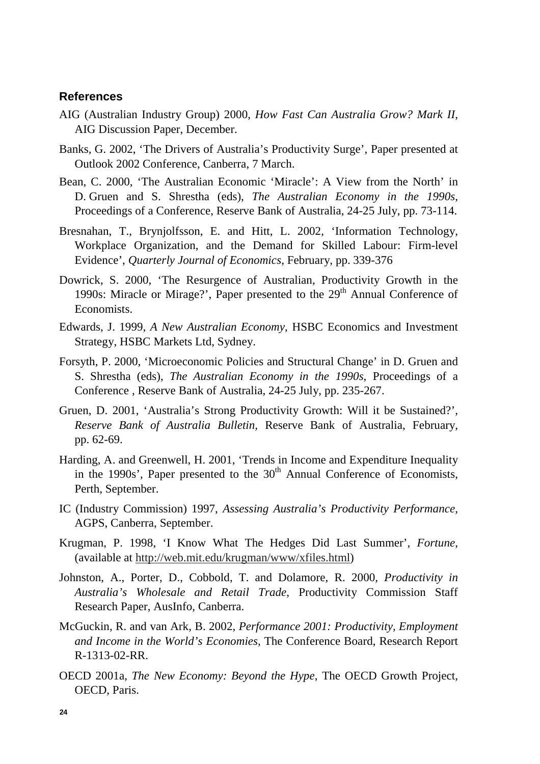#### **References**

- AIG (Australian Industry Group) 2000, *How Fast Can Australia Grow? Mark II*, AIG Discussion Paper, December.
- Banks, G. 2002, 'The Drivers of Australia's Productivity Surge', Paper presented at Outlook 2002 Conference, Canberra, 7 March.
- Bean, C. 2000, 'The Australian Economic 'Miracle': A View from the North' in D. Gruen and S. Shrestha (eds), *The Australian Economy in the 1990s*, Proceedings of a Conference, Reserve Bank of Australia, 24-25 July, pp. 73-114.
- Bresnahan, T., Brynjolfsson, E. and Hitt, L. 2002, 'Information Technology, Workplace Organization, and the Demand for Skilled Labour: Firm-level Evidence', *Quarterly Journal of Economics*, February, pp. 339-376
- Dowrick, S. 2000, 'The Resurgence of Australian, Productivity Growth in the 1990s: Miracle or Mirage?', Paper presented to the  $29<sup>th</sup>$  Annual Conference of Economists.
- Edwards, J. 1999, *A New Australian Economy*, HSBC Economics and Investment Strategy, HSBC Markets Ltd, Sydney.
- Forsyth, P. 2000, 'Microeconomic Policies and Structural Change' in D. Gruen and S. Shrestha (eds), *The Australian Economy in the 1990s*, Proceedings of a Conference , Reserve Bank of Australia, 24-25 July, pp. 235-267.
- Gruen, D. 2001, 'Australia's Strong Productivity Growth: Will it be Sustained?', *Reserve Bank of Australia Bulletin,* Reserve Bank of Australia, February, pp. 62-69.
- Harding, A. and Greenwell, H. 2001, 'Trends in Income and Expenditure Inequality in the 1990s', Paper presented to the  $30<sup>th</sup>$  Annual Conference of Economists, Perth, September.
- IC (Industry Commission) 1997, *Assessing Australia's Productivity Performance*, AGPS, Canberra, September.
- Krugman, P. 1998, 'I Know What The Hedges Did Last Summer', *Fortune*, (available at http://web.mit.edu/krugman/www/xfiles.html)
- Johnston, A., Porter, D., Cobbold, T. and Dolamore, R. 2000*, Productivity in Australia's Wholesale and Retail Trade*, Productivity Commission Staff Research Paper, AusInfo, Canberra.
- McGuckin, R. and van Ark, B. 2002, *Performance 2001: Productivity, Employment and Income in the World's Economies,* The Conference Board, Research Report R-1313-02-RR.
- OECD 2001a, *The New Economy: Beyond the Hype*, The OECD Growth Project, OECD, Paris.